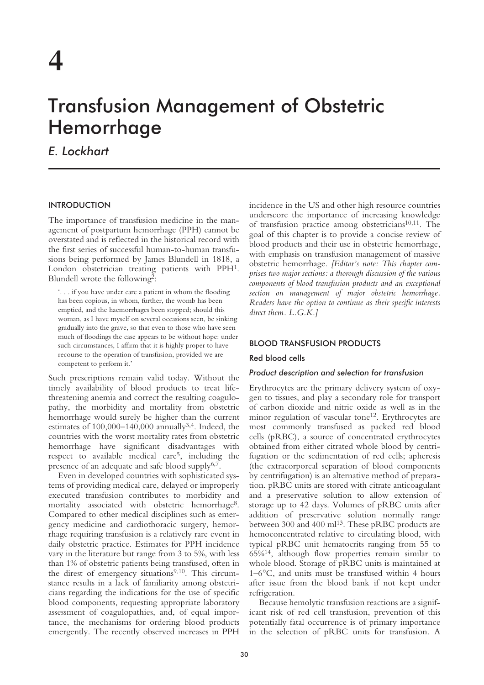# Transfusion Management of Obstetric Hemorrhage

*E. Lockhart*

## INTRODUCTION

The importance of transfusion medicine in the management of postpartum hemorrhage (PPH) cannot be overstated and is reflected in the historical record with the first series of successful human-to-human transfusions being performed by James Blundell in 1818, a London obstetrician treating patients with PPH1. Blundell wrote the following2:

'. . . if you have under care a patient in whom the flooding has been copious, in whom, further, the womb has been emptied, and the haemorrhages been stopped; should this woman, as I have myself on several occasions seen, be sinking gradually into the grave, so that even to those who have seen much of floodings the case appears to be without hope: under such circumstances, I affirm that it is highly proper to have recourse to the operation of transfusion, provided we are competent to perform it.'

Such prescriptions remain valid today. Without the timely availability of blood products to treat lifethreatening anemia and correct the resulting coagulopathy, the morbidity and mortality from obstetric hemorrhage would surely be higher than the current estimates of  $100,000-140,000$  annually<sup>3,4</sup>. Indeed, the countries with the worst mortality rates from obstetric hemorrhage have significant disadvantages with respect to available medical care5, including the presence of an adequate and safe blood supply $6.7$ .

Even in developed countries with sophisticated systems of providing medical care, delayed or improperly executed transfusion contributes to morbidity and mortality associated with obstetric hemorrhage<sup>8</sup>. Compared to other medical disciplines such as emergency medicine and cardiothoracic surgery, hemorrhage requiring transfusion is a relatively rare event in daily obstetric practice. Estimates for PPH incidence vary in the literature but range from 3 to 5%, with less than 1% of obstetric patients being transfused, often in the direst of emergency situations<sup>9,10</sup>. This circumstance results in a lack of familiarity among obstetricians regarding the indications for the use of specific blood components, requesting appropriate laboratory assessment of coagulopathies, and, of equal importance, the mechanisms for ordering blood products emergently. The recently observed increases in PPH incidence in the US and other high resource countries underscore the importance of increasing knowledge of transfusion practice among obstetricians $10,11$ . The goal of this chapter is to provide a concise review of blood products and their use in obstetric hemorrhage, with emphasis on transfusion management of massive obstetric hemorrhage. *[Editor's note: This chapter comprises two major sections: a thorough discussion of the various components of blood transfusion products and an exceptional section on management of major obstetric hemorrhage. Readers have the option to continue as their specific interests direct them. L.G.K.]*

## BLOOD TRANSFUSION PRODUCTS

## Red blood cells

#### *Product description and selection for transfusion*

Erythrocytes are the primary delivery system of oxygen to tissues, and play a secondary role for transport of carbon dioxide and nitric oxide as well as in the minor regulation of vascular tone<sup>12</sup>. Erythrocytes are most commonly transfused as packed red blood cells (pRBC), a source of concentrated erythrocytes obtained from either citrated whole blood by centrifugation or the sedimentation of red cells; apheresis (the extracorporeal separation of blood components by centrifugation) is an alternative method of preparation. pRBC units are stored with citrate anticoagulant and a preservative solution to allow extension of storage up to 42 days. Volumes of pRBC units after addition of preservative solution normally range between 300 and 400 ml<sup>13</sup>. These pRBC products are hemoconcentrated relative to circulating blood, with typical pRBC unit hematocrits ranging from 55 to 65%14, although flow properties remain similar to whole blood. Storage of pRBC units is maintained at 1–6°C, and units must be transfused within 4 hours after issue from the blood bank if not kept under refrigeration.

Because hemolytic transfusion reactions are a significant risk of red cell transfusion, prevention of this potentially fatal occurrence is of primary importance in the selection of pRBC units for transfusion. A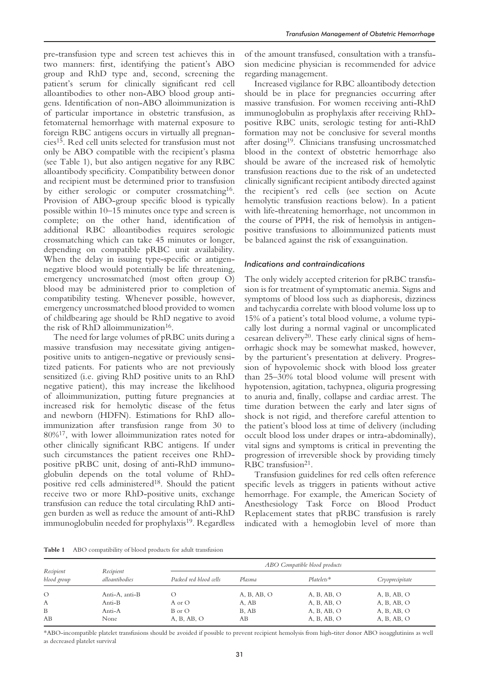pre-transfusion type and screen test achieves this in two manners: first, identifying the patient's ABO group and RhD type and, second, screening the patient's serum for clinically significant red cell alloantibodies to other non-ABO blood group antigens. Identification of non-ABO alloimmunization is of particular importance in obstetric transfusion, as fetomaternal hemorrhage with maternal exposure to foreign RBC antigens occurs in virtually all pregnancies15. Red cell units selected for transfusion must not only be ABO compatible with the recipient's plasma (see Table 1), but also antigen negative for any RBC alloantibody specificity. Compatibility between donor and recipient must be determined prior to transfusion by either serologic or computer crossmatching<sup>16</sup>. Provision of ABO-group specific blood is typically possible within 10–15 minutes once type and screen is complete; on the other hand, identification of additional RBC alloantibodies requires serologic crossmatching which can take 45 minutes or longer, depending on compatible pRBC unit availability. When the delay in issuing type-specific or antigennegative blood would potentially be life threatening, emergency uncrossmatched (most often group O) blood may be administered prior to completion of compatibility testing. Whenever possible, however, emergency uncrossmatched blood provided to women of childbearing age should be RhD negative to avoid the risk of RhD alloimmunization<sup>16</sup>.

The need for large volumes of pRBC units during a massive transfusion may necessitate giving antigenpositive units to antigen-negative or previously sensitized patients. For patients who are not previously sensitized (i.e. giving RhD positive units to an RhD negative patient), this may increase the likelihood of alloimmunization, putting future pregnancies at increased risk for hemolytic disease of the fetus and newborn (HDFN). Estimations for RhD alloimmunization after transfusion range from 30 to 80%17, with lower alloimmunization rates noted for other clinically significant RBC antigens. If under such circumstances the patient receives one RhDpositive pRBC unit, dosing of anti-RhD immunoglobulin depends on the total volume of RhDpositive red cells administered18. Should the patient receive two or more RhD-positive units, exchange transfusion can reduce the total circulating RhD antigen burden as well as reduce the amount of anti-RhD immunoglobulin needed for prophylaxis<sup>19</sup>. Regardless

of the amount transfused, consultation with a transfusion medicine physician is recommended for advice regarding management.

Increased vigilance for RBC alloantibody detection should be in place for pregnancies occurring after massive transfusion. For women receiving anti-RhD immunoglobulin as prophylaxis after receiving RhDpositive RBC units, serologic testing for anti-RhD formation may not be conclusive for several months after dosing19. Clinicians transfusing uncrossmatched blood in the context of obstetric hemorrhage also should be aware of the increased risk of hemolytic transfusion reactions due to the risk of an undetected clinically significant recipient antibody directed against the recipient's red cells (see section on Acute hemolytic transfusion reactions below). In a patient with life-threatening hemorrhage, not uncommon in the course of PPH, the risk of hemolysis in antigenpositive transfusions to alloimmunized patients must be balanced against the risk of exsanguination.

#### *Indications and contraindications*

The only widely accepted criterion for pRBC transfusion is for treatment of symptomatic anemia. Signs and symptoms of blood loss such as diaphoresis, dizziness and tachycardia correlate with blood volume loss up to 15% of a patient's total blood volume, a volume typically lost during a normal vaginal or uncomplicated cesarean delivery20. These early clinical signs of hemorrhagic shock may be somewhat masked, however, by the parturient's presentation at delivery. Progression of hypovolemic shock with blood loss greater than 25–30% total blood volume will present with hypotension, agitation, tachypnea, oliguria progressing to anuria and, finally, collapse and cardiac arrest. The time duration between the early and later signs of shock is not rigid, and therefore careful attention to the patient's blood loss at time of delivery (including occult blood loss under drapes or intra-abdominally), vital signs and symptoms is critical in preventing the progression of irreversible shock by providing timely RBC transfusion<sup>21</sup>.

Transfusion guidelines for red cells often reference specific levels as triggers in patients without active hemorrhage. For example, the American Society of Anesthesiology Task Force on Blood Product Replacement states that pRBC transfusion is rarely indicated with a hemoglobin level of more than

**Table 1** ABO compatibility of blood products for adult transfusion

| Recipient<br>blood group | Recipient<br>alloantibodies | ABO Compatible blood products |             |              |                 |
|--------------------------|-----------------------------|-------------------------------|-------------|--------------|-----------------|
|                          |                             | Packed red blood cells        | Plasma      | $Platelets*$ | Cryoprecipitate |
| $\circ$                  | Anti-A, anti-B              | $\left( \right)$              | A, B, AB, O | A, B, AB, O  | A, B, AB, O     |
| A                        | Anti-B                      | A or O                        | A, AB       | A, B, AB, O  | A, B, AB, O     |
| B                        | Anti-A                      | B or O                        | B, AB       | A, B, AB, O  | A, B, AB, O     |
| AB                       | None                        | A, B, AB, O                   | AВ          | A, B, AB, O  | A, B, AB, O     |

\*ABO-incompatible platelet transfusions should be avoided if possible to prevent recipient hemolysis from high-titer donor ABO isoagglutinins as well as decreased platelet survival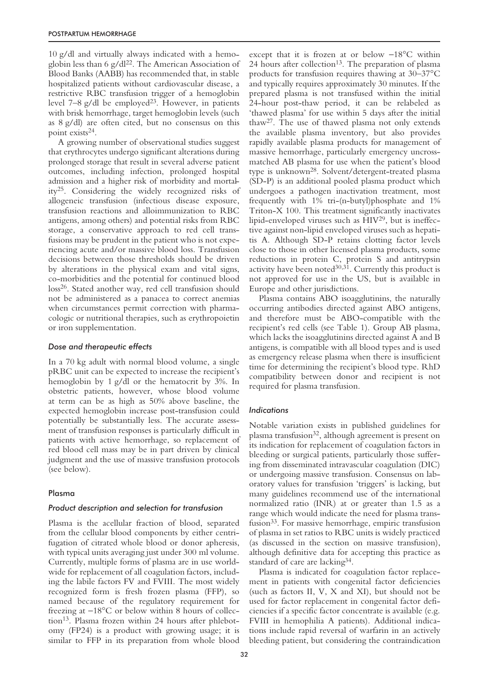10 g/dl and virtually always indicated with a hemoglobin less than 6 g/dl $^{22}$ . The American Association of Blood Banks (AABB) has recommended that, in stable hospitalized patients without cardiovascular disease, a restrictive RBC transfusion trigger of a hemoglobin level  $7-8$  g/dl be employed<sup>23</sup>. However, in patients with brisk hemorrhage, target hemoglobin levels (such as 8 g/dl) are often cited, but no consensus on this point exists<sup>24</sup>.

A growing number of observational studies suggest that erythrocytes undergo significant alterations during prolonged storage that result in several adverse patient outcomes, including infection, prolonged hospital admission and a higher risk of morbidity and mortality25. Considering the widely recognized risks of allogeneic transfusion (infectious disease exposure, transfusion reactions and alloimmunization to RBC antigens, among others) and potential risks from RBC storage, a conservative approach to red cell transfusions may be prudent in the patient who is not experiencing acute and/or massive blood loss. Transfusion decisions between those thresholds should be driven by alterations in the physical exam and vital signs, co-morbidities and the potential for continued blood loss<sup>26</sup>. Stated another way, red cell transfusion should not be administered as a panacea to correct anemias when circumstances permit correction with pharmacologic or nutritional therapies, such as erythropoietin or iron supplementation.

## *Dose and therapeutic effects*

In a 70 kg adult with normal blood volume, a single pRBC unit can be expected to increase the recipient's hemoglobin by 1 g/dl or the hematocrit by 3%. In obstetric patients, however, whose blood volume at term can be as high as 50% above baseline, the expected hemoglobin increase post-transfusion could potentially be substantially less. The accurate assessment of transfusion responses is particularly difficult in patients with active hemorrhage, so replacement of red blood cell mass may be in part driven by clinical judgment and the use of massive transfusion protocols (see below).

## Plasma

#### *Product description and selection for transfusion*

Plasma is the acellular fraction of blood, separated from the cellular blood components by either centrifugation of citrated whole blood or donor apheresis, with typical units averaging just under 300 ml volume. Currently, multiple forms of plasma are in use worldwide for replacement of all coagulation factors, including the labile factors FV and FVIII. The most widely recognized form is fresh frozen plasma (FFP), so named because of the regulatory requirement for freezing at −18°C or below within 8 hours of collection<sup>13</sup>. Plasma frozen within 24 hours after phlebotomy (FP24) is a product with growing usage; it is similar to FFP in its preparation from whole blood except that it is frozen at or below −18°C within 24 hours after collection<sup>13</sup>. The preparation of plasma products for transfusion requires thawing at 30–37°C and typically requires approximately 30 minutes. If the prepared plasma is not transfused within the initial 24-hour post-thaw period, it can be relabeled as 'thawed plasma' for use within 5 days after the initial thaw27. The use of thawed plasma not only extends the available plasma inventory, but also provides rapidly available plasma products for management of massive hemorrhage, particularly emergency uncrossmatched AB plasma for use when the patient's blood type is unknown28. Solvent/detergent-treated plasma (SD-P) is an additional pooled plasma product which undergoes a pathogen inactivation treatment, most frequently with 1% tri-(n-butyl)phosphate and 1% Triton-X 100. This treatment significantly inactivates lipid-enveloped viruses such as HIV29, but is ineffective against non-lipid enveloped viruses such as hepatitis A. Although SD-P retains clotting factor levels close to those in other licensed plasma products, some reductions in protein C, protein S and antitrypsin activity have been noted $30,31$ . Currently this product is not approved for use in the US, but is available in Europe and other jurisdictions.

Plasma contains ABO isoagglutinins, the naturally occurring antibodies directed against ABO antigens, and therefore must be ABO-compatible with the recipient's red cells (see Table 1). Group AB plasma, which lacks the isoagglutinins directed against A and B antigens, is compatible with all blood types and is used as emergency release plasma when there is insufficient time for determining the recipient's blood type. RhD compatibility between donor and recipient is not required for plasma transfusion.

## *Indications*

Notable variation exists in published guidelines for plasma transfusion32, although agreement is present on its indication for replacement of coagulation factors in bleeding or surgical patients, particularly those suffering from disseminated intravascular coagulation (DIC) or undergoing massive transfusion. Consensus on laboratory values for transfusion 'triggers' is lacking, but many guidelines recommend use of the international normalized ratio (INR) at or greater than 1.5 as a range which would indicate the need for plasma transfusion33. For massive hemorrhage, empiric transfusion of plasma in set ratios to RBC units is widely practiced (as discussed in the section on massive transfusion), although definitive data for accepting this practice as standard of care are lacking34.

Plasma is indicated for coagulation factor replacement in patients with congenital factor deficiencies (such as factors II, V, X and XI), but should not be used for factor replacement in congenital factor deficiencies if a specific factor concentrate is available (e.g. FVIII in hemophilia A patients). Additional indications include rapid reversal of warfarin in an actively bleeding patient, but considering the contraindication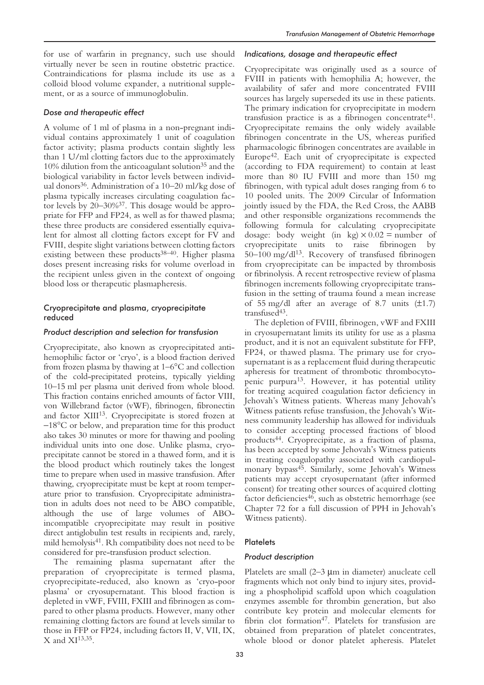for use of warfarin in pregnancy, such use should virtually never be seen in routine obstetric practice. Contraindications for plasma include its use as a colloid blood volume expander, a nutritional supplement, or as a source of immunoglobulin.

## *Dose and therapeutic effect*

A volume of 1 ml of plasma in a non-pregnant individual contains approximately 1 unit of coagulation factor activity; plasma products contain slightly less than 1 U/ml clotting factors due to the approximately 10% dilution from the anticoagulant solution<sup>35</sup> and the biological variability in factor levels between individual donors<sup>36</sup>. Administration of a 10–20 ml/kg dose of plasma typically increases circulating coagulation factor levels by 20–30%37. This dosage would be appropriate for FFP and FP24, as well as for thawed plasma; these three products are considered essentially equivalent for almost all clotting factors except for FV and FVIII, despite slight variations between clotting factors existing between these products<sup>38-40</sup>. Higher plasma doses present increasing risks for volume overload in the recipient unless given in the context of ongoing blood loss or therapeutic plasmapheresis.

# Cryoprecipitate and plasma, cryoprecipitate reduced

## *Product description and selection for transfusion*

Cryoprecipitate, also known as cryoprecipitated antihemophilic factor or 'cryo', is a blood fraction derived from frozen plasma by thawing at 1–6°C and collection of the cold-precipitated proteins, typically yielding 10–15 ml per plasma unit derived from whole blood. This fraction contains enriched amounts of factor VIII, von Willebrand factor (vWF), fibrinogen, fibronectin and factor XIII<sup>13</sup>. Cryoprecipitate is stored frozen at −18°C or below, and preparation time for this product also takes 30 minutes or more for thawing and pooling individual units into one dose. Unlike plasma, cryoprecipitate cannot be stored in a thawed form, and it is the blood product which routinely takes the longest time to prepare when used in massive transfusion. After thawing, cryoprecipitate must be kept at room temperature prior to transfusion. Cryoprecipitate administration in adults does not need to be ABO compatible, although the use of large volumes of ABOincompatible cryoprecipitate may result in positive direct antiglobulin test results in recipients and, rarely, mild hemolysis<sup>41</sup>. Rh compatibility does not need to be considered for pre-transfusion product selection.

The remaining plasma supernatant after the preparation of cryoprecipitate is termed plasma, cryoprecipitate-reduced, also known as 'cryo-poor plasma' or cryosupernatant. This blood fraction is depleted in vWF, FVIII, FXIII and fibrinogen as compared to other plasma products. However, many other remaining clotting factors are found at levels similar to those in FFP or FP24, including factors II, V, VII, IX,  $X$  and  $XI<sup>13,35</sup>$ .

## *Indications, dosage and therapeutic effect*

Cryoprecipitate was originally used as a source of FVIII in patients with hemophilia A; however, the availability of safer and more concentrated FVIII sources has largely superseded its use in these patients. The primary indication for cryoprecipitate in modern transfusion practice is as a fibrinogen concentrate<sup>41</sup>. Cryoprecipitate remains the only widely available fibrinogen concentrate in the US, whereas purified pharmacologic fibrinogen concentrates are available in Europe42. Each unit of cryoprecipitate is expected (according to FDA requirement) to contain at least more than 80 IU FVIII and more than 150 mg fibrinogen, with typical adult doses ranging from 6 to 10 pooled units. The 2009 Circular of Information jointly issued by the FDA, the Red Cross, the AABB and other responsible organizations recommends the following formula for calculating cryoprecipitate dosage: body weight (in kg)  $\times$  0.02 = number of cryoprecipitate units to raise fibrinogen by 50–100 mg/dl13. Recovery of transfused fibrinogen from cryoprecipitate can be impacted by thrombosis or fibrinolysis. A recent retrospective review of plasma fibrinogen increments following cryoprecipitate transfusion in the setting of trauma found a mean increase of 55 mg/dl after an average of 8.7 units  $(\pm 1.7)$ transfused<sup>43</sup>.

The depletion of FVIII, fibrinogen, vWF and FXIII in cryosupernatant limits its utility for use as a plasma product, and it is not an equivalent substitute for FFP, FP24, or thawed plasma. The primary use for cryosupernatant is as a replacement fluid during therapeutic apheresis for treatment of thrombotic thrombocytopenic purpura<sup>13</sup>. However, it has potential utility for treating acquired coagulation factor deficiency in Jehovah's Witness patients. Whereas many Jehovah's Witness patients refuse transfusion, the Jehovah's Witness community leadership has allowed for individuals to consider accepting processed fractions of blood products44. Cryoprecipitate, as a fraction of plasma, has been accepted by some Jehovah's Witness patients in treating coagulopathy associated with cardiopulmonary bypass<sup>45</sup>. Similarly, some Jehovah's Witness patients may accept cryosupernatant (after informed consent) for treating other sources of acquired clotting factor deficiencies<sup>46</sup>, such as obstetric hemorrhage (see Chapter 72 for a full discussion of PPH in Jehovah's Witness patients).

# **Platelets**

## *Product description*

Platelets are small (2–3 µm in diameter) anucleate cell fragments which not only bind to injury sites, providing a phospholipid scaffold upon which coagulation enzymes assemble for thrombin generation, but also contribute key protein and molecular elements for fibrin clot formation<sup>47</sup>. Platelets for transfusion are obtained from preparation of platelet concentrates, whole blood or donor platelet apheresis. Platelet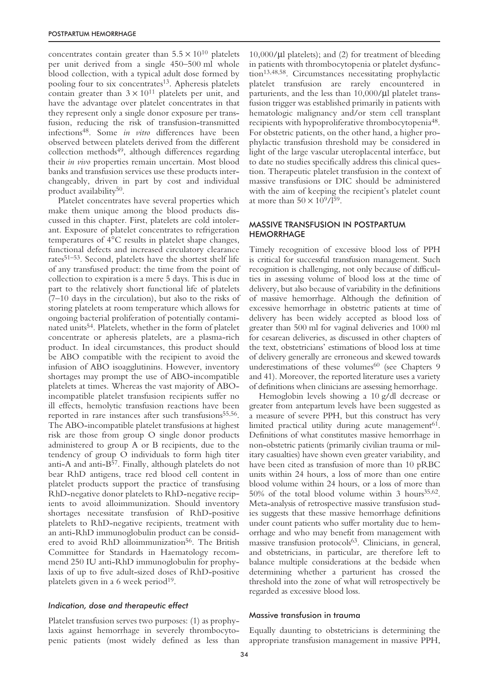concentrates contain greater than  $5.5 \times 10^{10}$  platelets per unit derived from a single 450–500 ml whole blood collection, with a typical adult dose formed by pooling four to six concentrates<sup>13</sup>. Apheresis platelets contain greater than  $3 \times 10^{11}$  platelets per unit, and have the advantage over platelet concentrates in that they represent only a single donor exposure per transfusion, reducing the risk of transfusion-transmitted infections48. Some *in vitro* differences have been observed between platelets derived from the different collection methods<sup>49</sup>, although differences regarding their *in vivo* properties remain uncertain. Most blood banks and transfusion services use these products interchangeably, driven in part by cost and individual product availability50.

Platelet concentrates have several properties which make them unique among the blood products discussed in this chapter. First, platelets are cold intolerant. Exposure of platelet concentrates to refrigeration temperatures of 4°C results in platelet shape changes, functional defects and increased circulatory clearance rates51–53. Second, platelets have the shortest shelf life of any transfused product: the time from the point of collection to expiration is a mere 5 days. This is due in part to the relatively short functional life of platelets (7–10 days in the circulation), but also to the risks of storing platelets at room temperature which allows for ongoing bacterial proliferation of potentially contaminated units<sup>54</sup>. Platelets, whether in the form of platelet concentrate or apheresis platelets, are a plasma-rich product. In ideal circumstances, this product should be ABO compatible with the recipient to avoid the infusion of ABO isoagglutinins. However, inventory shortages may prompt the use of ABO-incompatible platelets at times. Whereas the vast majority of ABOincompatible platelet transfusion recipients suffer no ill effects, hemolytic transfusion reactions have been reported in rare instances after such transfusions<sup>55,56</sup>. The ABO-incompatible platelet transfusions at highest risk are those from group O single donor products administered to group A or B recipients, due to the tendency of group O individuals to form high titer anti-A and anti-B<sup>57</sup>. Finally, although platelets do not bear RhD antigens, trace red blood cell content in platelet products support the practice of transfusing RhD-negative donor platelets to RhD-negative recipients to avoid alloimmunization. Should inventory shortages necessitate transfusion of RhD-positive platelets to RhD-negative recipients, treatment with an anti-RhD immunoglobulin product can be considered to avoid RhD alloimmunization<sup>56</sup>. The British Committee for Standards in Haematology recommend 250 IU anti-RhD immunoglobulin for prophylaxis of up to five adult-sized doses of RhD-positive platelets given in a 6 week period $19$ .

#### *Indication, dose and therapeutic effect*

Platelet transfusion serves two purposes: (1) as prophylaxis against hemorrhage in severely thrombocytopenic patients (most widely defined as less than

 $10,000/\mu l$  platelets); and (2) for treatment of bleeding in patients with thrombocytopenia or platelet dysfunction13,48,58. Circumstances necessitating prophylactic platelet transfusion are rarely encountered in parturients, and the less than 10,000/µl platelet transfusion trigger was established primarily in patients with hematologic malignancy and/or stem cell transplant recipients with hypoproliferative thrombocytopenia48. For obstetric patients, on the other hand, a higher prophylactic transfusion threshold may be considered in light of the large vascular uteroplacental interface, but to date no studies specifically address this clinical question. Therapeutic platelet transfusion in the context of massive transfusions or DIC should be administered with the aim of keeping the recipient's platelet count at more than  $50 \times 10^9 / 1^{59}$ .

## MASSIVE TRANSFUSION IN POSTPARTUM HEMORRHAGE

Timely recognition of excessive blood loss of PPH is critical for successful transfusion management. Such recognition is challenging, not only because of difficulties in assessing volume of blood loss at the time of delivery, but also because of variability in the definitions of massive hemorrhage. Although the definition of excessive hemorrhage in obstetric patients at time of delivery has been widely accepted as blood loss of greater than 500 ml for vaginal deliveries and 1000 ml for cesarean deliveries, as discussed in other chapters of the text, obstetricians' estimations of blood loss at time of delivery generally are erroneous and skewed towards underestimations of these volumes $60$  (see Chapters 9 and 41). Moreover, the reported literature uses a variety of definitions when clinicians are assessing hemorrhage.

Hemoglobin levels showing a 10 g/dl decrease or greater from antepartum levels have been suggested as a measure of severe PPH, but this construct has very limited practical utility during acute management<sup>61</sup>. Definitions of what constitutes massive hemorrhage in non-obstetric patients (primarily civilian trauma or military casualties) have shown even greater variability, and have been cited as transfusion of more than 10 pRBC units within 24 hours, a loss of more than one entire blood volume within 24 hours, or a loss of more than 50% of the total blood volume within 3 hours<sup>35,62</sup>. Meta-analysis of retrospective massive transfusion studies suggests that these massive hemorrhage definitions under count patients who suffer mortality due to hemorrhage and who may benefit from management with massive transfusion protocols<sup>63</sup>. Clinicians, in general, and obstetricians, in particular, are therefore left to balance multiple considerations at the bedside when determining whether a parturient has crossed the threshold into the zone of what will retrospectively be regarded as excessive blood loss.

#### Massive transfusion in trauma

Equally daunting to obstetricians is determining the appropriate transfusion management in massive PPH,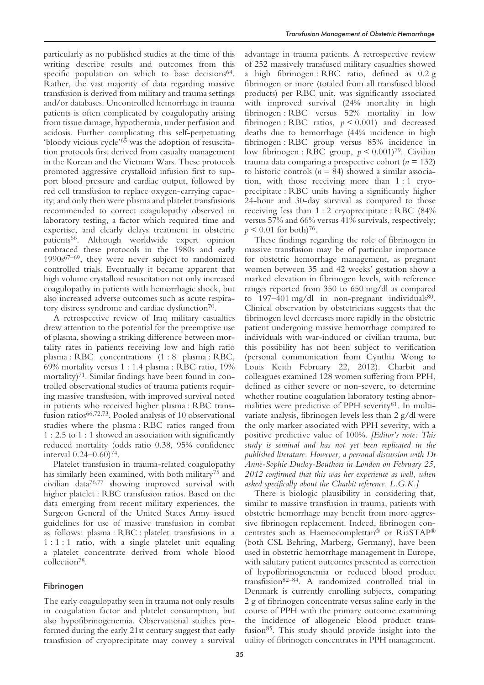particularly as no published studies at the time of this writing describe results and outcomes from this specific population on which to base decisions<sup>64</sup>. Rather, the vast majority of data regarding massive transfusion is derived from military and trauma settings and/or databases. Uncontrolled hemorrhage in trauma patients is often complicated by coagulopathy arising from tissue damage, hypothermia, under perfusion and acidosis. Further complicating this self-perpetuating 'bloody vicious cycle'65 was the adoption of resuscitation protocols first derived from casualty management in the Korean and the Vietnam Wars. These protocols promoted aggressive crystalloid infusion first to support blood pressure and cardiac output, followed by red cell transfusion to replace oxygen-carrying capacity; and only then were plasma and platelet transfusions recommended to correct coagulopathy observed in laboratory testing, a factor which required time and expertise, and clearly delays treatment in obstetric patients<sup>66</sup>. Although worldwide expert opinion embraced these protocols in the 1980s and early  $1990s^{67-69}$ , they were never subject to randomized controlled trials. Eventually it became apparent that high volume crystalloid resuscitation not only increased coagulopathy in patients with hemorrhagic shock, but also increased adverse outcomes such as acute respiratory distress syndrome and cardiac dysfunction<sup>70</sup>.

A retrospective review of Iraq military casualties drew attention to the potential for the preemptive use of plasma, showing a striking difference between mortality rates in patients receiving low and high ratio plasma : RBC concentrations (1 : 8 plasma : RBC, 69% mortality versus 1 : 1.4 plasma : RBC ratio, 19% mortality)<sup>71</sup>. Similar findings have been found in controlled observational studies of trauma patients requiring massive transfusion, with improved survival noted in patients who received higher plasma : RBC transfusion ratios66,72,73. Pooled analysis of 10 observational studies where the plasma : RBC ratios ranged from 1 : 2.5 to 1 : 1 showed an association with significantly reduced mortality (odds ratio 0.38, 95% confidence interval  $0.24 - 0.60$ <sup>74</sup>.

Platelet transfusion in trauma-related coagulopathy has similarly been examined, with both military75 and civilian data76,77 showing improved survival with higher platelet : RBC transfusion ratios. Based on the data emerging from recent military experiences, the Surgeon General of the United States Army issued guidelines for use of massive transfusion in combat as follows: plasma : RBC : platelet transfusions in a 1 : 1 : 1 ratio, with a single platelet unit equaling a platelet concentrate derived from whole blood collection78.

## Fibrinogen

The early coagulopathy seen in trauma not only results in coagulation factor and platelet consumption, but also hypofibrinogenemia. Observational studies performed during the early 21st century suggest that early transfusion of cryoprecipitate may convey a survival advantage in trauma patients. A retrospective review of 252 massively transfused military casualties showed a high fibrinogen : RBC ratio, defined as 0.2 g fibrinogen or more (totaled from all transfused blood products) per RBC unit, was significantly associated with improved survival (24% mortality in high fibrinogen : RBC versus 52% mortality in low fibrinogen : RBC ratios, *p* < 0.001) and decreased deaths due to hemorrhage (44% incidence in high fibrinogen : RBC group versus 85% incidence in low fibrinogen : RBC group,  $p < 0.001$ <sup>79</sup>. Civilian trauma data comparing a prospective cohort (*n* = 132) to historic controls ( $n = 84$ ) showed a similar association, with those receiving more than 1 : 1 cryoprecipitate : RBC units having a significantly higher 24-hour and 30-day survival as compared to those receiving less than 1 : 2 cryoprecipitate : RBC (84% versus 57% and 66% versus 41% survivals, respectively;  $p \leq 0.01$  for both)<sup>76</sup>.

These findings regarding the role of fibrinogen in massive transfusion may be of particular importance for obstetric hemorrhage management, as pregnant women between 35 and 42 weeks' gestation show a marked elevation in fibrinogen levels, with reference ranges reported from 350 to 650 mg/dl as compared to  $197-401 \text{ mg/dl}$  in non-pregnant individuals<sup>80</sup>. Clinical observation by obstetricians suggests that the fibrinogen level decreases more rapidly in the obstetric patient undergoing massive hemorrhage compared to individuals with war-induced or civilian trauma, but this possibility has not been subject to verification (personal communication from Cynthia Wong to Louis Keith February 22, 2012). Charbit and colleagues examined 128 women suffering from PPH, defined as either severe or non-severe, to determine whether routine coagulation laboratory testing abnormalities were predictive of PPH severity<sup>81</sup>. In multivariate analysis, fibrinogen levels less than 2 g/dl were the only marker associated with PPH severity, with a positive predictive value of 100%. *[Editor's note: This study is seminal and has not yet been replicated in the published literature. However, a personal discussion with Dr Anne-Sophie Ducloy-Bouthors in London on February 25, 2012 confirmed that this was her experience as well, when asked specifically about the Charbit reference. L.G.K.]*

There is biologic plausibility in considering that, similar to massive transfusion in trauma, patients with obstetric hemorrhage may benefit from more aggressive fibrinogen replacement. Indeed, fibrinogen concentrates such as Haemocomplettan® or RiaSTAP® (both CSL Behring, Marberg, Germany), have been used in obstetric hemorrhage management in Europe, with salutary patient outcomes presented as correction of hypofibrinogenemia or reduced blood product transfusion82–84. A randomized controlled trial in Denmark is currently enrolling subjects, comparing 2 g of fibrinogen concentrate versus saline early in the course of PPH with the primary outcome examining the incidence of allogeneic blood product transfusion85. This study should provide insight into the utility of fibrinogen concentrates in PPH management.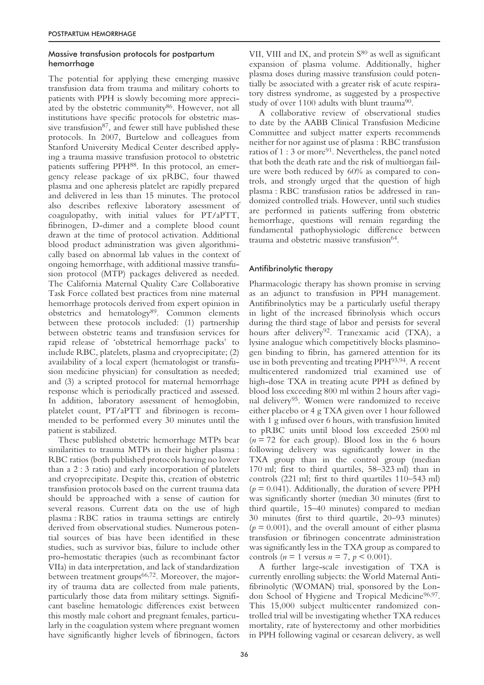## Massive transfusion protocols for postpartum hemorrhage

The potential for applying these emerging massive transfusion data from trauma and military cohorts to patients with PPH is slowly becoming more appreciated by the obstetric community<sup>86</sup>. However, not all institutions have specific protocols for obstetric massive transfusion $87$ , and fewer still have published these protocols. In 2007, Burtelow and colleagues from Stanford University Medical Center described applying a trauma massive transfusion protocol to obstetric patients suffering PPH<sup>88</sup>. In this protocol, an emergency release package of six pRBC, four thawed plasma and one apheresis platelet are rapidly prepared and delivered in less than 15 minutes. The protocol also describes reflexive laboratory assessment of coagulopathy, with initial values for PT/aPTT, fibrinogen, D-dimer and a complete blood count drawn at the time of protocol activation. Additional blood product administration was given algorithmically based on abnormal lab values in the context of ongoing hemorrhage, with additional massive transfusion protocol (MTP) packages delivered as needed. The California Maternal Quality Care Collaborative Task Force collated best practices from nine maternal hemorrhage protocols derived from expert opinion in obstetrics and hematology<sup>89</sup>. Common elements between these protocols included: (1) partnership between obstetric teams and transfusion services for rapid release of 'obstetrical hemorrhage packs' to include RBC, platelets, plasma and cryoprecipitate; (2) availability of a local expert (hematologist or transfusion medicine physician) for consultation as needed; and (3) a scripted protocol for maternal hemorrhage response which is periodically practiced and assessed. In addition, laboratory assessment of hemoglobin, platelet count, PT/aPTT and fibrinogen is recommended to be performed every 30 minutes until the patient is stabilized.

These published obstetric hemorrhage MTPs bear similarities to trauma MTPs in their higher plasma : RBC ratios (both published protocols having no lower than a 2 : 3 ratio) and early incorporation of platelets and cryoprecipitate. Despite this, creation of obstetric transfusion protocols based on the current trauma data should be approached with a sense of caution for several reasons. Current data on the use of high plasma : RBC ratios in trauma settings are entirely derived from observational studies. Numerous potential sources of bias have been identified in these studies, such as survivor bias, failure to include other pro-hemostatic therapies (such as recombinant factor VIIa) in data interpretation, and lack of standardization between treatment groups<sup>66,72</sup>. Moreover, the majority of trauma data are collected from male patients, particularly those data from military settings. Significant baseline hematologic differences exist between this mostly male cohort and pregnant females, particularly in the coagulation system where pregnant women have significantly higher levels of fibrinogen, factors

VII, VIII and IX, and protein S<sup>80</sup> as well as significant expansion of plasma volume. Additionally, higher plasma doses during massive transfusion could potentially be associated with a greater risk of acute respiratory distress syndrome, as suggested by a prospective study of over 1100 adults with blunt trauma<sup>90</sup>.

A collaborative review of observational studies to date by the AABB Clinical Transfusion Medicine Committee and subject matter experts recommends neither for nor against use of plasma : RBC transfusion ratios of  $1:3$  or more<sup>91</sup>. Nevertheless, the panel noted that both the death rate and the risk of multiorgan failure were both reduced by 60% as compared to controls, and strongly urged that the question of high plasma : RBC transfusion ratios be addressed in randomized controlled trials. However, until such studies are performed in patients suffering from obstetric hemorrhage, questions will remain regarding the fundamental pathophysiologic difference between trauma and obstetric massive transfusion<sup>64</sup>.

# Antifibrinolytic therapy

Pharmacologic therapy has shown promise in serving as an adjunct to transfusion in PPH management. Antifibrinolytics may be a particularly useful therapy in light of the increased fibrinolysis which occurs during the third stage of labor and persists for several hours after delivery<sup>92</sup>. Tranexamic acid (TXA), a lysine analogue which competitively blocks plasminogen binding to fibrin, has garnered attention for its use in both preventing and treating PPH93,94. A recent multicentered randomized trial examined use of high-dose TXA in treating acute PPH as defined by blood loss exceeding 800 ml within 2 hours after vaginal delivery95. Women were randomized to receive either placebo or 4 g TXA given over 1 hour followed with 1 g infused over 6 hours, with transfusion limited to pRBC units until blood loss exceeded 2500 ml  $(n = 72$  for each group). Blood loss in the 6 hours following delivery was significantly lower in the TXA group than in the control group (median 170 ml; first to third quartiles, 58–323 ml) than in controls (221 ml; first to third quartiles 110–543 ml)  $(p = 0.041)$ . Additionally, the duration of severe PPH was significantly shorter (median 30 minutes (first to third quartile, 15–40 minutes) compared to median 30 minutes (first to third quartile, 20–93 minutes)  $(p = 0.001)$ , and the overall amount of either plasma transfusion or fibrinogen concentrate administration was significantly less in the TXA group as compared to controls (*n* = 1 versus *n* = 7, *p* < 0.001).

A further large-scale investigation of TXA is currently enrolling subjects: the World Maternal Antifibrinolytic (WOMAN) trial, sponsored by the London School of Hygiene and Tropical Medicine<sup>96,97</sup>. This 15,000 subject multicenter randomized controlled trial will be investigating whether TXA reduces mortality, rate of hysterectomy and other morbidities in PPH following vaginal or cesarean delivery, as well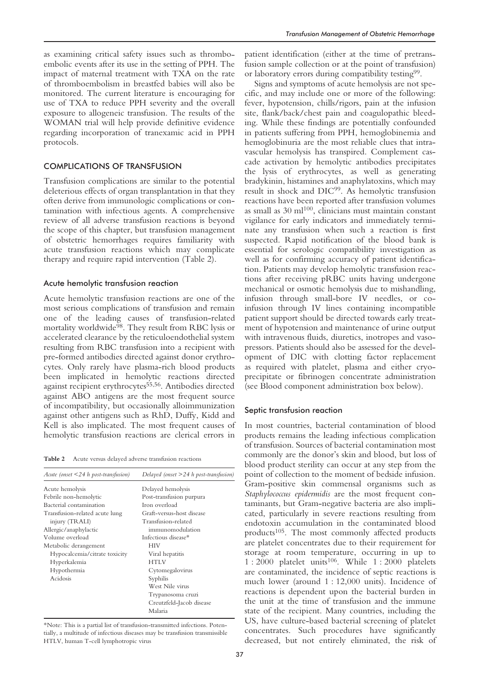as examining critical safety issues such as thromboembolic events after its use in the setting of PPH. The impact of maternal treatment with TXA on the rate of thromboembolism in breastfed babies will also be monitored. The current literature is encouraging for use of TXA to reduce PPH severity and the overall exposure to allogeneic transfusion. The results of the WOMAN trial will help provide definitive evidence regarding incorporation of tranexamic acid in PPH protocols.

## COMPLICATIONS OF TRANSFUSION

Transfusion complications are similar to the potential deleterious effects of organ transplantation in that they often derive from immunologic complications or contamination with infectious agents. A comprehensive review of all adverse transfusion reactions is beyond the scope of this chapter, but transfusion management of obstetric hemorrhages requires familiarity with acute transfusion reactions which may complicate therapy and require rapid intervention (Table 2).

## Acute hemolytic transfusion reaction

Acute hemolytic transfusion reactions are one of the most serious complications of transfusion and remain one of the leading causes of transfusion-related mortality worldwide<sup>98</sup>. They result from RBC lysis or accelerated clearance by the reticuloendothelial system resulting from RBC transfusion into a recipient with pre-formed antibodies directed against donor erythrocytes. Only rarely have plasma-rich blood products been implicated in hemolytic reactions directed against recipient erythrocytes<sup>55,56</sup>. Antibodies directed against ABO antigens are the most frequent source of incompatibility, but occasionally alloimmunization against other antigens such as RhD, Duffy, Kidd and Kell is also implicated. The most frequent causes of hemolytic transfusion reactions are clerical errors in

**Table 2** Acute versus delayed adverse transfusion reactions

| Acute (onset $\leq$ 24 h post-transfusion) | Delayed (onset $>$ 24 h post-transfusion) |  |  |
|--------------------------------------------|-------------------------------------------|--|--|
| Acute hemolysis                            | Delayed hemolysis                         |  |  |
| Febrile non-hemolytic                      | Post-transfusion purpura                  |  |  |
| Bacterial contamination                    | Iron overload                             |  |  |
| Transfusion-related acute lung             | Graft-versus-host disease                 |  |  |
| injury (TRALI)                             | Transfusion-related                       |  |  |
| Allergic/anaphylactic                      | immunomodulation                          |  |  |
| Volume overload                            | Infectious disease*                       |  |  |
| Metabolic derangement                      | <b>HIV</b>                                |  |  |
| Hypocalcemia/citrate toxicity              | Viral hepatitis                           |  |  |
| Hyperkalemia                               | <b>HTLV</b>                               |  |  |
| Hypothermia                                | Cytomegalovirus                           |  |  |
| Acidosis                                   | Syphilis                                  |  |  |
|                                            | West Nile virus                           |  |  |
|                                            | Trypanosoma cruzi                         |  |  |
|                                            | Creutzfeld-Jacob disease                  |  |  |
|                                            | Malaria                                   |  |  |

\*Note: This is a partial list of transfusion-transmitted infections. Potentially, a multitude of infectious diseases may be transfusion transmissible HTLV, human T-cell lymphotropic virus

patient identification (either at the time of pretransfusion sample collection or at the point of transfusion) or laboratory errors during compatibility testing99.

Signs and symptoms of acute hemolysis are not specific, and may include one or more of the following: fever, hypotension, chills/rigors, pain at the infusion site, flank/back/chest pain and coagulopathic bleeding. While these findings are potentially confounded in patients suffering from PPH, hemoglobinemia and hemoglobinuria are the most reliable clues that intravascular hemolysis has transpired. Complement cascade activation by hemolytic antibodies precipitates the lysis of erythrocytes, as well as generating bradykinin, histamines and anaphylatoxins, which may result in shock and DIC99. As hemolytic transfusion reactions have been reported after transfusion volumes as small as  $30 \text{ ml}^{100}$ , clinicians must maintain constant vigilance for early indicators and immediately terminate any transfusion when such a reaction is first suspected. Rapid notification of the blood bank is essential for serologic compatibility investigation as well as for confirming accuracy of patient identification. Patients may develop hemolytic transfusion reactions after receiving pRBC units having undergone mechanical or osmotic hemolysis due to mishandling, infusion through small-bore IV needles, or coinfusion through IV lines containing incompatible patient support should be directed towards early treatment of hypotension and maintenance of urine output with intravenous fluids, diuretics, inotropes and vasopressors. Patients should also be assessed for the development of DIC with clotting factor replacement as required with platelet, plasma and either cryoprecipitate or fibrinogen concentrate administration (see Blood component administration box below).

#### Septic transfusion reaction

In most countries, bacterial contamination of blood products remains the leading infectious complication of transfusion. Sources of bacterial contamination most commonly are the donor's skin and blood, but loss of blood product sterility can occur at any step from the point of collection to the moment of bedside infusion. Gram-positive skin commensal organisms such as *Staphylococcus epidermidis* are the most frequent contaminants, but Gram-negative bacteria are also implicated, particularly in severe reactions resulting from endotoxin accumulation in the contaminated blood products105. The most commonly affected products are platelet concentrates due to their requirement for storage at room temperature, occurring in up to 1 : 2000 platelet units106. While 1 : 2000 platelets are contaminated, the incidence of septic reactions is much lower (around 1 : 12,000 units). Incidence of reactions is dependent upon the bacterial burden in the unit at the time of transfusion and the immune state of the recipient. Many countries, including the US, have culture-based bacterial screening of platelet concentrates. Such procedures have significantly decreased, but not entirely eliminated, the risk of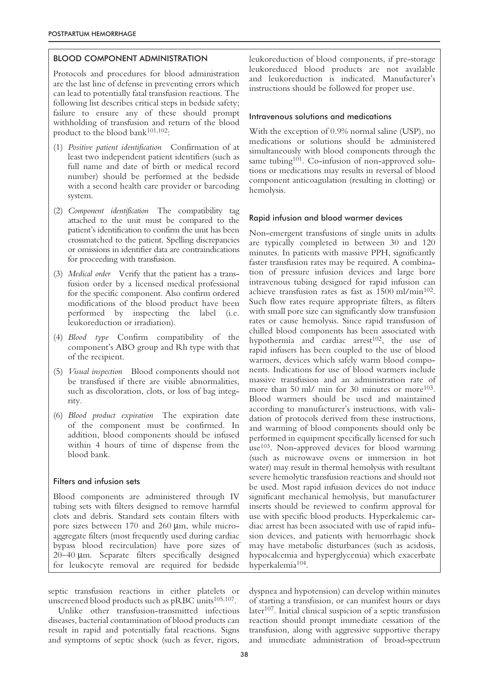## BLOOD COMPONENT ADMINISTRATION

Protocols and procedures for blood administration are the last line of defense in preventing errors which can lead to potentially fatal transfusion reactions. The following list describes critical steps in bedside safety; failure to ensure any of these should prompt withholding of transfusion and return of the blood product to the blood bank $101,102$ :

- (1) *Positive patient identification* Confirmation of at least two independent patient identifiers (such as full name and date of birth or medical record number) should be performed at the bedside with a second health care provider or barcoding system.
- (2) *Component identification* The compatibility tag attached to the unit must be compared to the patient's identification to confirm the unit has been crossmatched to the patient. Spelling discrepancies or omissions in identifier data are contraindications for proceeding with transfusion.
- (3) *Medical order* Verify that the patient has a transfusion order by a licensed medical professional for the specific component. Also confirm ordered modifications of the blood product have been performed by inspecting the label (i.e. leukoreduction or irradiation).
- (4) *Blood type* Confirm compatibility of the component's ABO group and Rh type with that of the recipient.
- (5) *Visual inspection* Blood components should not be transfused if there are visible abnormalities, such as discoloration, clots, or loss of bag integrity.
- (6) *Blood product expiration* The expiration date of the component must be confirmed. In addition, blood components should be infused within 4 hours of time of dispense from the blood bank.

## Filters and infusion sets

Blood components are administered through IV tubing sets with filters designed to remove harmful clots and debris. Standard sets contain filters with pore sizes between 170 and 260 µm, while microaggregate filters (most frequently used during cardiac bypass blood recirculation) have pore sizes of 20–40 µm. Separate filters specifically designed for leukocyte removal are required for bedside

leukoreduction of blood components, if pre-storage leukoreduced blood products are not available and leukoreduction is indicated. Manufacturer's instructions should be followed for proper use.

#### Intravenous solutions and medications

With the exception of 0.9% normal saline (USP), no medications or solutions should be administered simultaneously with blood components through the same tubing<sup>101</sup>. Co-infusion of non-approved solutions or medications may results in reversal of blood component anticoagulation (resulting in clotting) or hemolysis.

## Rapid infusion and blood warmer devices

Non-emergent transfusions of single units in adults are typically completed in between 30 and 120 minutes. In patients with massive PPH, significantly faster transfusion rates may be required. A combination of pressure infusion devices and large bore intravenous tubing designed for rapid infusion can achieve transfusion rates as fast as 1500 ml/min<sup>102</sup>. Such flow rates require appropriate filters, as filters with small pore size can significantly slow transfusion rates or cause hemolysis. Since rapid transfusion of chilled blood components has been associated with hypothermia and cardiac arrest<sup>102</sup>, the use of rapid infusers has been coupled to the use of blood warmers, devices which safely warm blood components. Indications for use of blood warmers include massive transfusion and an administration rate of more than 50 ml/ min for 30 minutes or more<sup>103</sup>. Blood warmers should be used and maintained according to manufacturer's instructions, with validation of protocols derived from these instructions, and warming of blood components should only be performed in equipment specifically licensed for such use103. Non-approved devices for blood warming (such as microwave ovens or immersion in hot water) may result in thermal hemolysis with resultant severe hemolytic transfusion reactions and should not be used. Most rapid infusion devices do not induce significant mechanical hemolysis, but manufacturer inserts should be reviewed to confirm approval for use with specific blood products. Hyperkalemic cardiac arrest has been associated with use of rapid infusion devices, and patients with hemorrhagic shock may have metabolic disturbances (such as acidosis, hypocalcemia and hyperglycemia) which exacerbate hyperkalemia104.

septic transfusion reactions in either platelets or unscreened blood products such as pRBC units<sup>105,107</sup>.

Unlike other transfusion-transmitted infectious diseases, bacterial contamination of blood products can result in rapid and potentially fatal reactions. Signs and symptoms of septic shock (such as fever, rigors,

dyspnea and hypotension) can develop within minutes of starting a transfusion, or can manifest hours or days later<sup>107</sup>. Initial clinical suspicion of a septic transfusion reaction should prompt immediate cessation of the transfusion, along with aggressive supportive therapy and immediate administration of broad-spectrum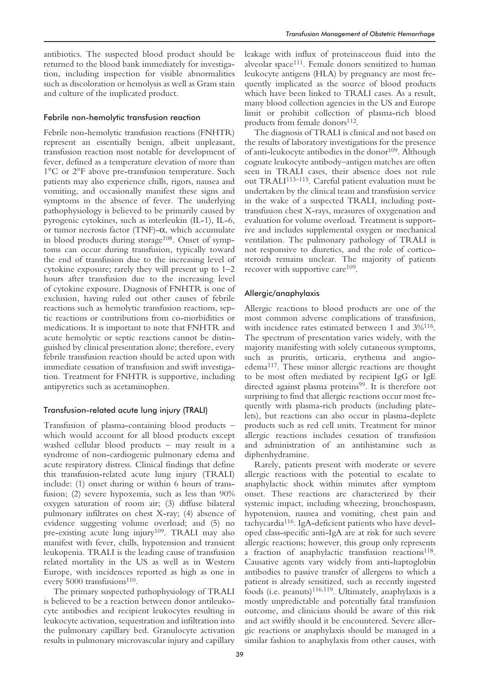## Febrile non-hemolytic transfusion reaction

Febrile non-hemolytic transfusion reactions (FNHTR) represent an essentially benign, albeit unpleasant, transfusion reaction most notable for development of fever, defined as a temperature elevation of more than 1°C or 2°F above pre-transfusion temperature. Such patients may also experience chills, rigors, nausea and vomiting, and occasionally manifest these signs and symptoms in the absence of fever. The underlying pathophysiology is believed to be primarily caused by pyrogenic cytokines, such as interleukin (IL-1), IL-6, or tumor necrosis factor (TNF)-α, which accumulate in blood products during storage<sup>108</sup>. Onset of symptoms can occur during transfusion, typically toward the end of transfusion due to the increasing level of cytokine exposure; rarely they will present up to  $1-2$ hours after transfusion due to the increasing level of cytokine exposure. Diagnosis of FNHTR is one of exclusion, having ruled out other causes of febrile reactions such as hemolytic transfusion reactions, septic reactions or contributions from co-morbidities or medications. It is important to note that FNHTR and acute hemolytic or septic reactions cannot be distinguished by clinical presentation alone; therefore, every febrile transfusion reaction should be acted upon with immediate cessation of transfusion and swift investigation. Treatment for FNHTR is supportive, including antipyretics such as acetaminophen.

# Transfusion-related acute lung injury (TRALI)

Transfusion of plasma-containing blood products – which would account for all blood products except washed cellular blood products – may result in a syndrome of non-cardiogenic pulmonary edema and acute respiratory distress. Clinical findings that define this transfusion-related acute lung injury (TRALI) include: (1) onset during or within 6 hours of transfusion; (2) severe hypoxemia, such as less than 90% oxygen saturation of room air; (3) diffuse bilateral pulmonary infiltrates on chest X-ray; (4) absence of evidence suggesting volume overload; and (5) no pre-existing acute lung injury<sup>109</sup>. TRALI may also manifest with fever, chills, hypotension and transient leukopenia. TRALI is the leading cause of transfusion related mortality in the US as well as in Western Europe, with incidences reported as high as one in every 5000 transfusions<sup>110</sup>.

The primary suspected pathophysiology of TRALI is believed to be a reaction between donor antileukocyte antibodies and recipient leukocytes resulting in leukocyte activation, sequestration and infiltration into the pulmonary capillary bed. Granulocyte activation results in pulmonary microvascular injury and capillary leakage with influx of proteinaceous fluid into the alveolar space111. Female donors sensitized to human leukocyte antigens (HLA) by pregnancy are most frequently implicated as the source of blood products which have been linked to TRALI cases. As a result, many blood collection agencies in the US and Europe limit or prohibit collection of plasma-rich blood products from female donors<sup>112</sup>.

The diagnosis of TRALI is clinical and not based on the results of laboratory investigations for the presence of anti-leukocyte antibodies in the donor<sup>109</sup>. Although cognate leukocyte antibody–antigen matches are often seen in TRALI cases, their absence does not rule out TRALI113–115. Careful patient evaluation must be undertaken by the clinical team and transfusion service in the wake of a suspected TRALI, including posttransfusion chest X-rays, measures of oxygenation and evaluation for volume overload. Treatment is supportive and includes supplemental oxygen or mechanical ventilation. The pulmonary pathology of TRALI is not responsive to diuretics, and the role of corticosteroids remains unclear. The majority of patients recover with supportive care<sup>109</sup>.

## Allergic/anaphylaxis

Allergic reactions to blood products are one of the most common adverse complications of transfusion, with incidence rates estimated between 1 and 3%116. The spectrum of presentation varies widely, with the majority manifesting with solely cutaneous symptoms, such as pruritis, urticaria, erythema and angioedema117. These minor allergic reactions are thought to be most often mediated by recipient IgG or IgE directed against plasma proteins<sup>99</sup>. It is therefore not surprising to find that allergic reactions occur most frequently with plasma-rich products (including platelets), but reactions can also occur in plasma-deplete products such as red cell units. Treatment for minor allergic reactions includes cessation of transfusion and administration of an antihistamine such as diphenhydramine.

Rarely, patients present with moderate or severe allergic reactions with the potential to escalate to anaphylactic shock within minutes after symptom onset. These reactions are characterized by their systemic impact, including wheezing, bronchospasm, hypotension, nausea and vomiting, chest pain and tachycardia116. IgA-deficient patients who have developed class-specific anti-IgA are at risk for such severe allergic reactions; however, this group only represents a fraction of anaphylactic transfusion reactions<sup>118</sup>. Causative agents vary widely from anti-haptoglobin antibodies to passive transfer of allergens to which a patient is already sensitized, such as recently ingested foods (i.e. peanuts)<sup>116,119</sup>. Ultimately, anaphylaxis is a mostly unpredictable and potentially fatal transfusion outcome, and clinicians should be aware of this risk and act swiftly should it be encountered. Severe allergic reactions or anaphylaxis should be managed in a similar fashion to anaphylaxis from other causes, with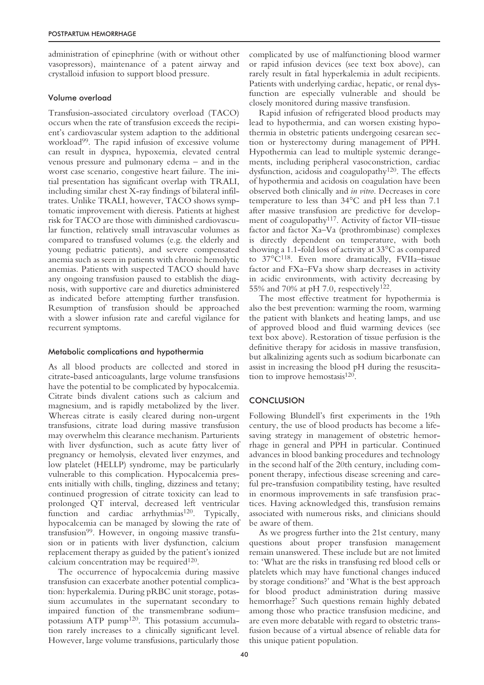administration of epinephrine (with or without other vasopressors), maintenance of a patent airway and crystalloid infusion to support blood pressure.

## Volume overload

Transfusion-associated circulatory overload (TACO) occurs when the rate of transfusion exceeds the recipient's cardiovascular system adaption to the additional workload99. The rapid infusion of excessive volume can result in dyspnea, hypoxemia, elevated central venous pressure and pulmonary edema – and in the worst case scenario, congestive heart failure. The initial presentation has significant overlap with TRALI, including similar chest X-ray findings of bilateral infiltrates. Unlike TRALI, however, TACO shows symptomatic improvement with dieresis. Patients at highest risk for TACO are those with diminished cardiovascular function, relatively small intravascular volumes as compared to transfused volumes (e.g. the elderly and young pediatric patients), and severe compensated anemia such as seen in patients with chronic hemolytic anemias. Patients with suspected TACO should have any ongoing transfusion paused to establish the diagnosis, with supportive care and diuretics administered as indicated before attempting further transfusion. Resumption of transfusion should be approached with a slower infusion rate and careful vigilance for recurrent symptoms.

## Metabolic complications and hypothermia

As all blood products are collected and stored in citrate-based anticoagulants, large volume transfusions have the potential to be complicated by hypocalcemia. Citrate binds divalent cations such as calcium and magnesium, and is rapidly metabolized by the liver. Whereas citrate is easily cleared during non-urgent transfusions, citrate load during massive transfusion may overwhelm this clearance mechanism. Parturients with liver dysfunction, such as acute fatty liver of pregnancy or hemolysis, elevated liver enzymes, and low platelet (HELLP) syndrome, may be particularly vulnerable to this complication. Hypocalcemia presents initially with chills, tingling, dizziness and tetany; continued progression of citrate toxicity can lead to prolonged QT interval, decreased left ventricular function and cardiac arrhythmias<sup>120</sup>. Typically, hypocalcemia can be managed by slowing the rate of transfusion99. However, in ongoing massive transfusion or in patients with liver dysfunction, calcium replacement therapy as guided by the patient's ionized calcium concentration may be required<sup>120</sup>.

The occurrence of hypocalcemia during massive transfusion can exacerbate another potential complication: hyperkalemia. During pRBC unit storage, potassium accumulates in the supernatant secondary to impaired function of the transmembrane sodium– potassium ATP pump120. This potassium accumulation rarely increases to a clinically significant level. However, large volume transfusions, particularly those

complicated by use of malfunctioning blood warmer or rapid infusion devices (see text box above), can rarely result in fatal hyperkalemia in adult recipients. Patients with underlying cardiac, hepatic, or renal dysfunction are especially vulnerable and should be closely monitored during massive transfusion.

Rapid infusion of refrigerated blood products may lead to hypothermia, and can worsen existing hypothermia in obstetric patients undergoing cesarean section or hysterectomy during management of PPH. Hypothermia can lead to multiple systemic derangements, including peripheral vasoconstriction, cardiac dysfunction, acidosis and coagulopathy120. The effects of hypothermia and acidosis on coagulation have been observed both clinically and *in vitro*. Decreases in core temperature to less than 34°C and pH less than 7.1 after massive transfusion are predictive for development of coagulopathy<sup>117</sup>. Activity of factor VII–tissue factor and factor Xa–Va (prothrombinase) complexes is directly dependent on temperature, with both showing a 1.1-fold loss of activity at 33°C as compared to 37°C118. Even more dramatically, FVIIa–tissue factor and FXa–FVa show sharp decreases in activity in acidic environments, with activity decreasing by 55% and 70% at pH 7.0, respectively122.

The most effective treatment for hypothermia is also the best prevention: warming the room, warming the patient with blankets and heating lamps, and use of approved blood and fluid warming devices (see text box above). Restoration of tissue perfusion is the definitive therapy for acidosis in massive transfusion, but alkalinizing agents such as sodium bicarbonate can assist in increasing the blood pH during the resuscitation to improve hemostasis<sup>120</sup>.

# **CONCLUSION**

Following Blundell's first experiments in the 19th century, the use of blood products has become a lifesaving strategy in management of obstetric hemorrhage in general and PPH in particular. Continued advances in blood banking procedures and technology in the second half of the 20th century, including component therapy, infectious disease screening and careful pre-transfusion compatibility testing, have resulted in enormous improvements in safe transfusion practices. Having acknowledged this, transfusion remains associated with numerous risks, and clinicians should be aware of them.

As we progress further into the 21st century, many questions about proper transfusion management remain unanswered. These include but are not limited to: 'What are the risks in transfusing red blood cells or platelets which may have functional changes induced by storage conditions?' and 'What is the best approach for blood product administration during massive hemorrhage?' Such questions remain highly debated among those who practice transfusion medicine, and are even more debatable with regard to obstetric transfusion because of a virtual absence of reliable data for this unique patient population.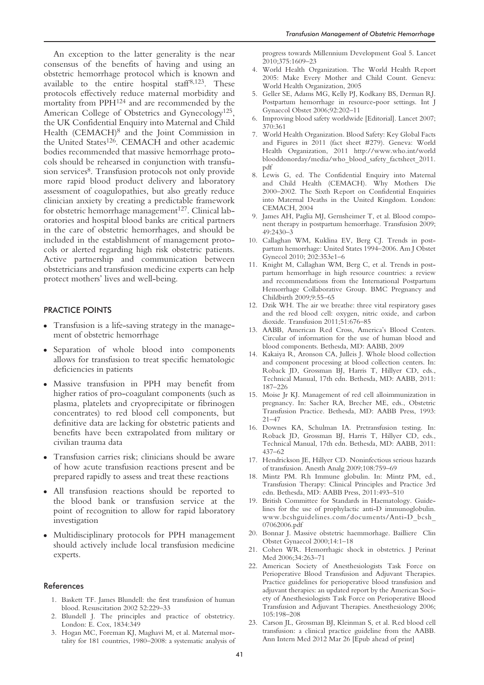An exception to the latter generality is the near consensus of the benefits of having and using an obstetric hemorrhage protocol which is known and available to the entire hospital staff  $8,123$ . These protocols effectively reduce maternal morbidity and mortality from PPH124 and are recommended by the American College of Obstetrics and Gynecology<sup>125</sup>, the UK Confidential Enquiry into Maternal and Child Health (CEMACH)8 and the Joint Commission in the United States<sup>126</sup>. CEMACH and other academic bodies recommended that massive hemorrhage protocols should be rehearsed in conjunction with transfusion services<sup>8</sup>. Transfusion protocols not only provide more rapid blood product delivery and laboratory assessment of coagulopathies, but also greatly reduce clinician anxiety by creating a predictable framework for obstetric hemorrhage management $127$ . Clinical laboratories and hospital blood banks are critical partners in the care of obstetric hemorrhages, and should be included in the establishment of management protocols or alerted regarding high risk obstetric patients. Active partnership and communication between obstetricians and transfusion medicine experts can help protect mothers' lives and well-being.

## PRACTICE POINTS

- Transfusion is a life-saving strategy in the management of obstetric hemorrhage
- Separation of whole blood into components allows for transfusion to treat specific hematologic deficiencies in patients
- Massive transfusion in PPH may benefit from higher ratios of pro-coagulant components (such as plasma, platelets and cryoprecipitate or fibrinogen concentrates) to red blood cell components, but definitive data are lacking for obstetric patients and benefits have been extrapolated from military or civilian trauma data
- Transfusion carries risk; clinicians should be aware of how acute transfusion reactions present and be prepared rapidly to assess and treat these reactions
- All transfusion reactions should be reported to the blood bank or transfusion service at the point of recognition to allow for rapid laboratory investigation
- Multidisciplinary protocols for PPH management should actively include local transfusion medicine experts.

#### References

- 1. Baskett TF. James Blundell: the first transfusion of human blood. Resuscitation 2002 52:229–33
- Blundell J. The principles and practice of obstetricy. London: E. Cox, 1834:349
- 3. Hogan MC, Foreman KJ, Maghavi M, et al. Maternal mortality for 181 countries, 1980–2008: a systematic analysis of

progress towards Millennium Development Goal 5. Lancet 2010;375:1609–23

- 4. World Health Organization. The World Health Report 2005: Make Every Mother and Child Count. Geneva: World Health Organization, 2005
- 5. Geller SE, Adams MG, Kelly PJ, Kodkany BS, Derman RJ. Postpartum hemorrhage in resource-poor settings. Int J Gynaecol Obstet 2006;92:202–11
- 6. Improving blood safety worldwide [Editorial]. Lancet 2007; 370:361
- 7. World Health Organization. Blood Safety: Key Global Facts and Figures in 2011 (fact sheet #279). Geneva: World Health Organization, 2011 http://www.who.int/world blooddonorday/media/who\_blood\_safety\_factsheet\_2011. pdf
- 8. Lewis G, ed. The Confidential Enquiry into Maternal and Child Health (CEMACH). Why Mothers Die 2000–2002. The Sixth Report on Confidential Enquiries into Maternal Deaths in the United Kingdom. London: CEMACH, 2004
- 9. James AH, Paglia MJ, Gernsheimer T, et al. Blood component therapy in postpartum hemorrhage. Transfusion 2009; 49:2430–3
- 10. Callaghan WM, Kuklina EV, Berg CJ. Trends in postpartum hemorrhage: United States 1994–2006. Am J Obstet Gynecol 2010; 202:353e1–6
- 11. Knight M, Callaghan WM, Berg C, et al. Trends in postpartum hemorrhage in high resource countries: a review and recommendations from the International Postpartum Hemorrhage Collaborative Group. BMC Pregnancy and Childbirth 2009;9:55–65
- 12. Dzik WH. The air we breathe: three vital respiratory gases and the red blood cell: oxygen, nitric oxide, and carbon dioxide. Transfusion 2011;51:676–85
- 13. AABB, American Red Cross, America's Blood Centers. Circular of information for the use of human blood and blood components. Bethesda, MD: AABB, 2009
- 14. Kakaiya R, Aronson CA, Julleis J. Whole blood collection and component processing at blood collection centers. In: Roback JD, Grossman BJ, Harris T, Hillyer CD, eds., Technical Manual, 17th edn. Bethesda, MD: AABB, 2011: 187–226
- 15. Moise Jr KJ. Management of red cell alloimmunization in pregnancy. In: Sacher RA, Brecher ME, eds., Obstetric Transfusion Practice. Bethesda, MD: AABB Press, 1993: 21–47
- 16. Downes KA, Schulman IA. Pretransfusion testing. In: Roback JD, Grossman BJ, Harris T, Hillyer CD, eds., Technical Manual, 17th edn. Bethesda, MD: AABB, 2011: 437–62
- 17. Hendrickson JE, Hillyer CD. Noninfectious serious hazards of transfusion. Anesth Analg 2009;108:759–69
- 18. Mintz PM. Rh Immune globulin. In: Mintz PM, ed., Transfusion Therapy: Clinical Principles and Practice 3rd edn. Bethesda, MD: AABB Press, 2011:493–510
- 19. British Committee for Standards in Haematology. Guidelines for the use of prophylactic anti-D immunoglobulin. www.bcshguidelines.com/documents/Anti-D\_bcsh\_ 07062006.pdf
- 20. Bonnar J. Massive obstetric haemmorhage. Bailliere Clin Obstet Gynaecol 2000;14:1–18
- 21. Cohen WR. Hemorrhagic shock in obstetrics. J Perinat Med 2006;34:263–71
- 22. American Society of Anesthesiologists Task Force on Perioperative Blood Transfusion and Adjuvant Therapies. Practice guidelines for perioperative blood transfusion and adjuvant therapies: an updated report by the American Society of Anesthesiologists Task Force on Perioperative Blood Transfusion and Adjuvant Therapies. Anesthesiology 2006; 105:198–208
- 23. Carson JL, Grossman BJ, Kleinman S, et al. Red blood cell transfusion: a clinical practice guideline from the AABB. Ann Intern Med 2012 Mar 26 [Epub ahead of print]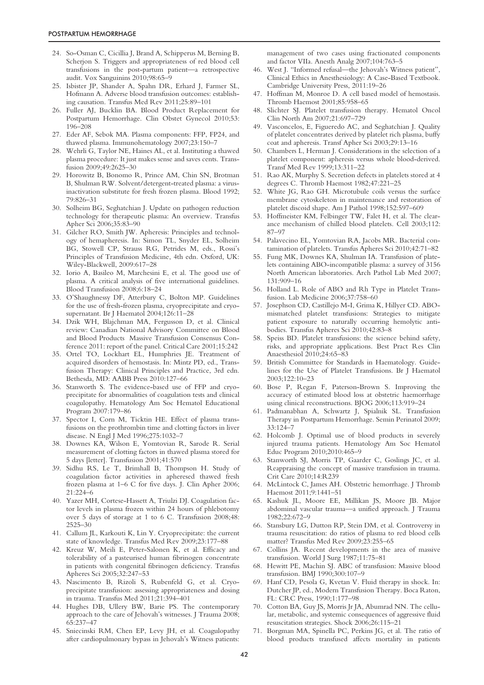- 24. So-Osman C, Cicillia J, Brand A, Schipperus M, Berning B, Scherjon S. Triggers and appropriateness of red blood cell transfusions in the post-partum patient—a retrospective audit. Vox Sanguinins 2010;98:65–9
- 25. Isbister JP, Shander A, Spahn DR, Erhard J, Farmer SL, Hofmann A. Adverse blood transfusion outcomes: establishing causation. Transfus Med Rev 2011;25:89–101
- 26. Fuller AJ, Bucklin BA. Blood Product Replacement for Postpartum Hemorrhage. Clin Obstet Gynecol 2010;53: 196–208
- 27. Eder AF, Sebok MA. Plasma components: FFP, FP24, and thawed plasma. Immunohematology 2007;23:150–7
- 28. Wehrli G, Taylor NE, Haines AL, et al. Instituting a thawed plasma procedure: It just makes sense and saves cents. Transfusion 2009;49:2625–30
- 29. Horowitz B, Bonomo R, Prince AM, Chin SN, Brotman B, Shulman RW. Solvent/detergent-treated plasma: a virusinactivation substitute for fresh frozen plasma. Blood 1992; 79:826–31
- 30. Solheim BG, Seghatchian J. Update on pathogen reduction technology for therapeutic plasma: An overview. Transfus Apher Sci 2006;35:83–90
- 31. Gilcher RO, Smith JW. Apheresis: Principles and technology of hemapheresis. In: Simon TL, Snyder EL, Solheim BG, Stowell CP, Strauss RG, Petrides M, eds., Rossi's Principles of Transfusion Medicine, 4th edn. Oxford, UK: Wiley-Blackwell, 2009:617–28
- 32. Iorio A, Basileo M, Marchesini E, et al. The good use of plasma. A critical analysis of five international guidelines. Blood Transfusion 2008;6:18–24
- 33. O'Shaughnessy DF, Atterbury C, Bolton MP. Guidelines for the use of fresh-frozen plasma, cryoprecipitate and cryosupernatant. Br J Haematol 2004;126:11–28
- 34. Dzik WH, Blajchman MA, Fergusson D, et al. Clinical review: Canadian National Advisory Committee on Blood and Blood Products Massive Transfusion Consensus Conference 2011: report of the panel. Critical Care 2001;15:242
- 35. Ortel TO, Lockhart EL, Humphries JE. Treatment of acquired disorders of hemostasis. In: Mintz PD, ed., Transfusion Therapy: Clinical Principles and Practice, 3rd edn. Bethesda, MD: AABB Press 2010:127–66
- 36. Stanworth S. The evidence-based use of FFP and cryoprecipitate for abnormalities of coagulation tests and clinical coagulopathy. Hematology Am Soc Hematol Educational Program 2007:179–86
- 37. Spector I, Corn M, Ticktin HE. Effect of plasma transfusions on the prothrombin time and clotting factors in liver disease. N Engl J Med 1996;275:1032–7
- 38. Downes KA, Wilson E, Yomtovian R, Sarode R. Serial measurement of clotting factors in thawed plasma stored for 5 days [letter]. Transfusion 2001;41:570
- 39. Sidhu RS, Le T, Brimhall B, Thompson H. Study of coagulation factor activities in apheresed thawed fresh frozen plasma at 1–6 C for five days. J. Clin Apher 2006; 21:224–6
- 40. Yazer MH, Cortese-Hassett A, Triulzi DJ. Coagulation factor levels in plasma frozen within 24 hours of phlebotomy over 5 days of storage at 1 to 6 C. Transfusion 2008;48: 2525–30
- 41. Callum JL, Karkouti K, Lin Y. Cryoprecipitate: the current state of knowledge. Transfus Med Rev 2009;23:177–88
- 42. Kreuz W, Meili E, Peter-Salonen K, et al. Efficacy and tolerability of a pasteurised human fibrinogen concentrate in patients with congenital fibrinogen deficiency. Transfus Apheres Sci 2005;32:247–53
- 43. Nascimento B, Rizoli S, Rubenfeld G, et al. Cryoprecipitate transfusion: assessing appropriateness and dosing in trauma. Transfus Med 2011;21:394–401
- 44. Hughes DB, Ullery BW, Barie PS. The contemporary approach to the care of Jehovah's witnesses. J Trauma 2008; 65:237–47
- 45. Sniecinski RM, Chen EP, Levy JH, et al. Coagulopathy after cardiopulmonary bypass in Jehovah's Witness patients:

management of two cases using fractionated components and factor VIIa. Anesth Analg 2007;104:763–5

- 46. West J. "Informed refusal—the Jehovah's Witness patient", Clinical Ethics in Anesthesiology: A Case-Based Textbook. Cambridge University Press, 2011:19–26
- 47. Hoffman M, Monroe D. A cell based model of hemostasis. Thromb Haemost 2001;85:958–65
- 48. Slichter SJ. Platelet transfusion therapy. Hematol Oncol Clin North Am 2007;21:697–729
- 49. Vasconcelos, E, Figueredo AC, and Seghatchian J. Quality of platelet concentrates derived by platelet rich plasma, buffy coat and apheresis. Transf Apher Sci 2003;29:13–16
- 50. Chambers L, Herman J. Considerations in the selection of a platelet component: apheresis versus whole blood-derived. Transf Med Rev 1999;13:311–22
- 51. Rao AK, Murphy S. Secretion defects in platelets stored at 4 degrees C. Thromb Haemost 1982;47:221–25
- 52. White JG, Rao GH. Microtubule coils versus the surface membrane cytoskeleton in maintenance and restoration of platelet discoid shape. Am J Pathol 1998;152:597–609
- 53. Hoffmeister KM, Felbinger TW, Falet H, et al. The clearance mechanism of chilled blood platelets. Cell 2003;112: 87–97
- 54. Palavecino EL, Yomtovian RA, Jacobs MR. Bacterial contamination of platelets. Transfus Apheres Sci 2010;42:71–82
- 55. Fung MK, Downes KA, Shulman IA. Transfusion of platelets containing ABO-incompatible plasma: a survey of 3156 North American laboratories. Arch Pathol Lab Med 2007; 131:909–16
- 56. Holland L. Role of ABO and Rh Type in Platelet Transfusion. Lab Medicine 2006;37:758–60
- 57. Josephson CD, Castillejo M-I, Grima K, Hillyer CD. ABOmismatched platelet transfusions: Strategies to mitigate patient exposure to naturally occurring hemolytic antibodies. Transfus Apheres Sci 2010;42:83–8
- 58. Speiss BD. Platelet transfusions: the science behind safety, risks, and appropriate applications. Best Pract Res Clin Anaesthesiol 2010;24:65–83
- 59. British Committee for Standards in Haematology. Guidelines for the Use of Platelet Transfusions. Br J Haematol 2003;122:10–23
- 60. Bose P, Regan F, Paterson-Brown S. Improving the accuracy of estimated blood loss at obstetric haemorrhage using clinical reconstructions. BJOG 2006;113:919–24
- 61. Padmanabhan A, Schwartz J, Spialnik SL. Transfusion Therapy in Postpartum Hemorrhage. Semin Perinatol 2009; 33:124–7
- 62. Holcomb J. Optimal use of blood products in severely injured trauma patients. Hematology Am Soc Hematol Educ Program 2010;2010:465–9
- 63. Stanworth SJ, Morris TP, Gaarder C, Goslings JC, et al. Reappraising the concept of massive transfusion in trauma. Crit Care 2010;14:R239
- 64. McLintock C, James AH. Obstetric hemorrhage. J Thromb Haemost 2011;9:1441–51
- 65. Kashuk JL, Moore EE, Millikan JS, Moore JB. Major abdominal vascular trauma—a unified approach. J Trauma 1982;22:672–9
- 66. Stansbury LG, Dutton RP, Stein DM, et al. Controversy in trauma resuscitation: do ratios of plasma to red blood cells matter? Transfus Med Rev 2009;23:255–65
- 67. Collins JA. Recent developments in the area of massive transfusion. World J Surg 1987;11:75–81
- 68. Hewitt PE, Machin SJ. ABC of transfusion: Massive blood transfusion. BMJ 1990;300:107–9
- Hanf CD, Pesola G, Kvetan V. Fluid therapy in shock. In: Dutcher JP, ed., Modern Transfusion Therapy. Boca Raton, FL: CRC Press, 1990;1:177–98
- 70. Cotton BA, Guy JS, Morris Jr JA, Abumrad NN. The cellular, metabolic, and systemic consequences of aggressive fluid resuscitation strategies. Shock 2006;26:115–21
- 71. Borgman MA, Spinella PC, Perkins JG, et al. The ratio of blood products transfused affects mortality in patients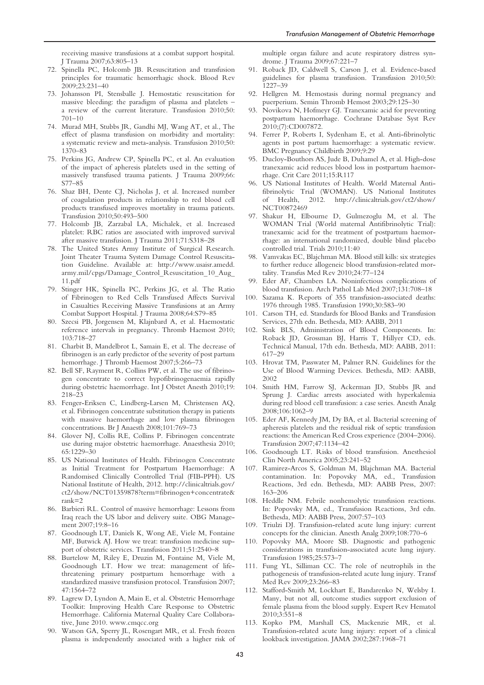receiving massive transfusions at a combat support hospital. J Trauma 2007;63:805–13

- 72. Spinella PC, Holcomb JB. Resuscitation and transfusion principles for traumatic hemorrhagic shock. Blood Rev 2009;23:231–40
- 73. Johansson PI, Stensballe J. Hemostatic resuscitation for massive bleeding: the paradigm of plasma and platelets – a review of the current literature. Transfusion 2010;50: 701–10
- 74. Murad MH, Stubbs JR, Gandhi MJ, Wang AT, et al., The effect of plasma transfusion on morbidity and mortality: a systematic review and meta-analysis. Transfusion 2010;50: 1370–83
- 75. Perkins JG, Andrew CP, Spinella PC, et al. An evaluation of the impact of apheresis platelets used in the setting of massively transfused trauma patients. J Trauma 2009;66: S77–85
- 76. Shaz BH, Dente CJ, Nicholas J, et al. Increased number of coagulation products in relationship to red blood cell products transfused improves mortality in trauma patients. Transfusion 2010;50:493–500
- 77. Holcomb JB, Zarzabal LA, Michalek, et al. Increased platelet: RBC ratios are associated with improved survival after massive transfusion. J Trauma 2011;71:S318–28
- 78. The United States Army Institute of Surgical Research. Joint Theater Trauma System Damage Control Resuscitation Guideline. Available at: http://www.usaisr.amedd. army.mil/cpgs/Damage\_Control\_Resuscitation\_10\_Aug\_ 11.pdf
- 79. Stinger HK, Spinella PC, Perkins JG, et al. The Ratio of Fibrinogen to Red Cells Transfused Affects Survival in Casualties Receiving Massive Transfusions at an Army Combat Support Hospital. J Trauma 2008;64:S79–85
- 80. Szecsi PB, Jorgensen M, Klajnbard A, et al. Haemostatic reference intervals in pregnancy. Thromb Haemost 2010; 103:718–27
- 81. Charbit B, Mandelbrot L, Samain E, et al. The decrease of fibrinogen is an early predictor of the severity of post partum hemorrhage. J Thromb Haemost 2007;5:266–73
- 82. Bell SF, Rayment R, Collins PW, et al. The use of fibrinogen concentrate to correct hypofibrinogenaemia rapidly during obstetric haemorrhage. Int J Obstet Anesth 2010;19: 218–23
- 83. Fenger-Eriksen C, Lindberg-Larsen M, Christensen AQ, et al. Fibrinogen concentrate substitution therapy in patients with massive haemorrhage and low plasma fibrinogen concentrations. Br J Anaesth 2008;101:769–73
- 84. Glover NJ, Collis RE, Collins P. Fibrinogen concentrate use during major obstetric haemorrhage. Anaesthesia 2010; 65:1229–30
- 85. US National Institutes of Health. Fibrinogen Concentrate as Initial Treatment for Postpartum Haemorrhage: A Randomised Clinically Controlled Trial (FIB-PPH). US National Institute of Health, 2012. http://clinicaltrials.gov/ ct2/show/NCT01359878?term=fibrinogen+concentrate& rank=2
- 86. Barbieri RL. Control of massive hemorrhage: Lessons from Iraq reach the US labor and delivery suite. OBG Management 2007;19:8–16
- 87. Goodnough LT, Daniels K, Wong AE, Viele M, Fontaine MF, Butwick AJ. How we treat: transfusion medicine support of obstetric services. Transfusion 2011;51:2540–8
- 88. Burtelow M, Riley E, Druzin M, Fontaine M, Viele M, Goodnough LT. How we treat: management of lifethreatening primary postpartum hemorrhage with a standardized massive transfusion protocol. Transfusion 2007; 47:1564–72
- 89. Lagrew D, Lyndon A, Main E, et al. Obstetric Hemorrhage Toolkit: Improving Health Care Response to Obstetric Hemorrhage. California Maternal Quality Care Collaborative, June 2010. www.cmqcc.org
- 90. Watson GA, Sperry JL, Rosengart MR, et al. Fresh frozen plasma is independently associated with a higher risk of

multiple organ failure and acute respiratory distress syndrome. J Trauma 2009;67:221–7

- 91. Roback JD, Caldwell S, Carson J, et al. Evidence-based guidelines for plasma transfusion. Transfusion 2010;50: 1227–39
- 92. Hellgren M. Hemostasis during normal pregnancy and puerperium. Semin Thromb Hemost 2003;29:125–30
- 93. Novikova N, Hofmeyr GJ. Tranexamic acid for preventing postpartum haemorrhage. Cochrane Database Syst Rev 2010;(7):CD007872.
- 94. Ferrer P, Roberts I, Sydenham E, et al. Anti-fibrinolytic agents in post partum haemorrhage: a systematic review. BMC Pregnancy Childbirth 2009;9:29
- 95. Ducloy-Bouthors AS, Jude B, Duhamel A, et al. High-dose tranexamic acid reduces blood loss in postpartum haemorrhage. Crit Care 2011;15:R117
- 96. US National Institutes of Health. World Maternal Antifibrinolytic Trial (WOMAN). US National Institutes of Health, 2012. http://clinicaltrials.gov/ct2/show/ NCT00872469
- 97. Shakur H, Elbourne D, Gulmezoglu M, et al. The WOMAN Trial (World maternal Antifibrinolytic Trial): tranexamic acid for the treatment of postpartum haemorrhage: an international randomized, double blind placebo controlled trial. Trials 2010;11:40
- 98. Vamvakas EC, Blajchman MA. Blood still kills: six strategies to further reduce allogeneic blood transfusion-related mortality. Transfus Med Rev 2010;24:77–124
- 99. Eder AF, Chambers LA. Noninfectious complications of blood transfusion. Arch Pathol Lab Med 2007;131:708–18
- 100. Sazama K. Reports of 355 transfusion-associated deaths: 1976 through 1985. Transfusion 1990;30:583–90
- 101. Carson TH, ed. Standards for Blood Banks and Transfusion Services, 27th edn. Bethesda, MD: AABB, 2011
- 102. Sink BLS, Administration of Blood Components. In: Roback JD, Grossman BJ, Harris T, Hillyer CD, eds. Technical Manual, 17th edn. Bethesda, MD: AABB, 2011: 617–29
- 103. Hrovat TM, Passwater M, Palmer RN. Guidelines for the Use of Blood Warming Devices. Bethesda, MD: AABB, 2002
- 104. Smith HM, Farrow SJ, Ackerman JD, Stubbs JR and Sprung J. Cardiac arrests associated with hyperkalemia during red blood cell transfusion: a case series. Anesth Analg 2008;106:1062–9
- 105. Eder AF, Kennedy JM, Dy BA, et al. Bacterial screening of apheresis platelets and the residual risk of septic transfusion reactions: the American Red Cross experience (2004–2006). Transfusion 2007;47:1134–42
- 106. Goodnough LT. Risks of blood transfusion. Anesthesiol Clin North America 2005;23:241–52
- 107. Ramirez-Arcos S, Goldman M, Blajchman MA. Bacterial contamination. In: Popovsky MA, ed., Transfusion Reactions, 3rd edn. Bethesda, MD: AABB Press, 2007: 163–206
- 108. Heddle NM. Febrile nonhemolytic transfusion reactions. In: Popovsky MA, ed., Transfusion Reactions, 3rd edn. Bethesda, MD: AABB Press, 2007:57–103
- 109. Triulzi DJ. Transfusion-related acute lung injury: current concepts for the clinician. Anesth Analg 2009;108:770–6
- 110. Popovsky MA, Moore SB. Diagnostic and pathogenic considerations in transfusion-associated acute lung injury. Transfusion 1985;25:573–7
- 111. Fung YL, Silliman CC. The role of neutrophils in the pathogenesis of transfusion-related acute lung injury. Transf Med Rev 2009;23:266–83
- 112. Stafford-Smith M, Lockhart E, Bandarenko N, Welsby I. Many, but not all, outcome studies support exclusion of female plasma from the blood supply. Expert Rev Hematol  $2010.3.551 - 8$
- 113. Kopko PM, Marshall CS, Mackenzie MR, et al. Transfusion-related acute lung injury: report of a clinical lookback investigation. JAMA 2002;287:1968–71